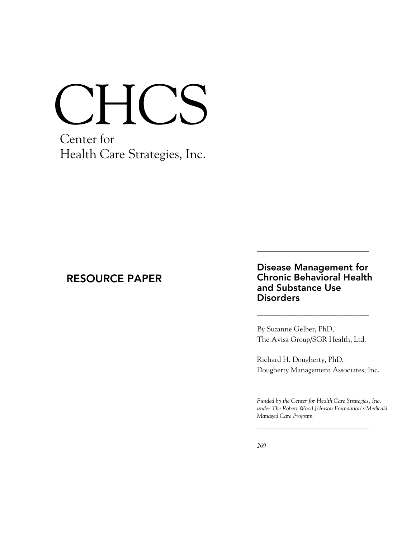# CHCS

Center for Health Care Strategies, Inc.

# RESOURCE PAPER

## Disease Management for Chronic Behavioral Health and Substance Use **Disorders**

\_\_\_\_\_\_\_\_\_\_\_\_\_\_\_\_\_\_\_\_\_\_\_\_\_\_\_\_\_\_

\_\_\_\_\_\_\_\_\_\_\_\_\_\_\_\_\_\_\_\_\_\_\_\_\_\_\_\_\_\_

By Suzanne Gelber, PhD, The Avisa Group/SGR Health, Ltd.

Richard H. Dougherty, PhD, Dougherty Management Associates, Inc.

*Funded by the Center for Health Care Strategies, Inc. under The Robert Wood Johnson Foundation's Medicaid Managed Care Program* 

\_\_\_\_\_\_\_\_\_\_\_\_\_\_\_\_\_\_\_\_\_\_\_\_\_\_\_\_\_\_

*January 2005*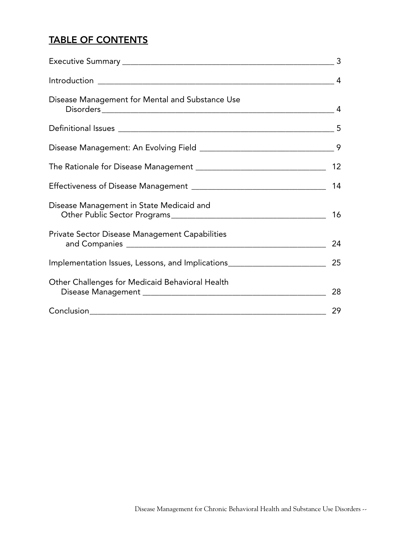# TABLE OF CONTENTS

| Disease Management for Mental and Substance Use                             |    |
|-----------------------------------------------------------------------------|----|
|                                                                             |    |
|                                                                             |    |
|                                                                             |    |
|                                                                             | 14 |
| Disease Management in State Medicaid and                                    | 16 |
| Private Sector Disease Management Capabilities                              |    |
| Implementation Issues, Lessons, and Implications __________________________ | 25 |
| Other Challenges for Medicaid Behavioral Health                             |    |
|                                                                             | 29 |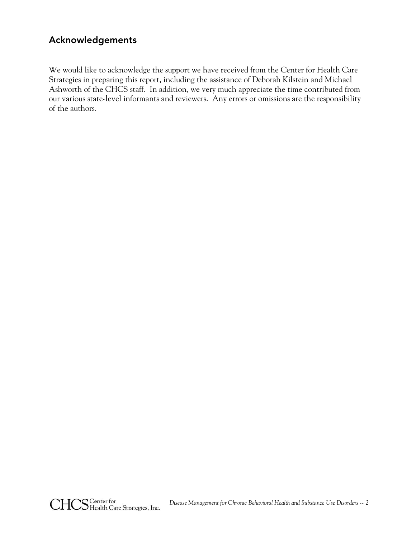## Acknowledgements

We would like to acknowledge the support we have received from the Center for Health Care Strategies in preparing this report, including the assistance of Deborah Kilstein and Michael Ashworth of the CHCS staff. In addition, we very much appreciate the time contributed from our various state-level informants and reviewers. Any errors or omissions are the responsibility of the authors.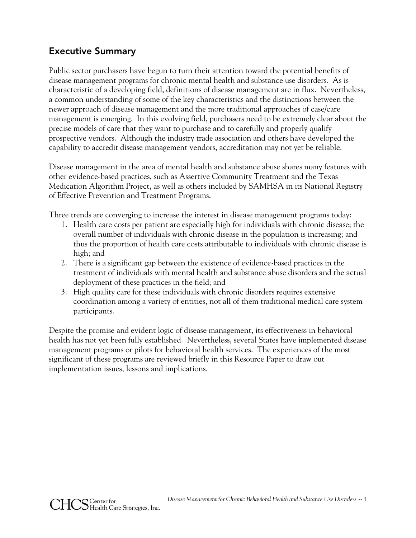## Executive Summary

Public sector purchasers have begun to turn their attention toward the potential benefits of disease management programs for chronic mental health and substance use disorders. As is characteristic of a developing field, definitions of disease management are in flux. Nevertheless, a common understanding of some of the key characteristics and the distinctions between the newer approach of disease management and the more traditional approaches of case/care management is emerging. In this evolving field, purchasers need to be extremely clear about the precise models of care that they want to purchase and to carefully and properly qualify prospective vendors. Although the industry trade association and others have developed the capability to accredit disease management vendors, accreditation may not yet be reliable.

Disease management in the area of mental health and substance abuse shares many features with other evidence-based practices, such as Assertive Community Treatment and the Texas Medication Algorithm Project, as well as others included by SAMHSA in its National Registry of Effective Prevention and Treatment Programs.

Three trends are converging to increase the interest in disease management programs today:

- 1. Health care costs per patient are especially high for individuals with chronic disease; the overall number of individuals with chronic disease in the population is increasing; and thus the proportion of health care costs attributable to individuals with chronic disease is high; and
- 2. There is a significant gap between the existence of evidence-based practices in the treatment of individuals with mental health and substance abuse disorders and the actual deployment of these practices in the field; and
- 3. High quality care for these individuals with chronic disorders requires extensive coordination among a variety of entities, not all of them traditional medical care system participants.

Despite the promise and evident logic of disease management, its effectiveness in behavioral health has not yet been fully established. Nevertheless, several States have implemented disease management programs or pilots for behavioral health services. The experiences of the most significant of these programs are reviewed briefly in this Resource Paper to draw out implementation issues, lessons and implications.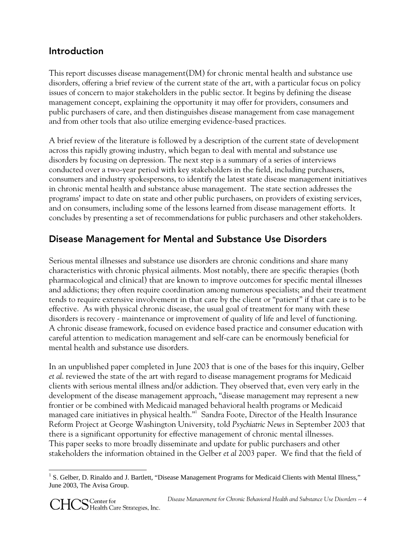## Introduction

This report discusses disease management(DM) for chronic mental health and substance use disorders, offering a brief review of the current state of the art, with a particular focus on policy issues of concern to major stakeholders in the public sector. It begins by defining the disease management concept, explaining the opportunity it may offer for providers, consumers and public purchasers of care, and then distinguishes disease management from case management and from other tools that also utilize emerging evidence-based practices.

A brief review of the literature is followed by a description of the current state of development across this rapidly growing industry, which began to deal with mental and substance use disorders by focusing on depression. The next step is a summary of a series of interviews conducted over a two-year period with key stakeholders in the field, including purchasers, consumers and industry spokespersons, to identify the latest state disease management initiatives in chronic mental health and substance abuse management. The state section addresses the programs' impact to date on state and other public purchasers, on providers of existing services, and on consumers, including some of the lessons learned from disease management efforts. It concludes by presenting a set of recommendations for public purchasers and other stakeholders.

# Disease Management for Mental and Substance Use Disorders

Serious mental illnesses and substance use disorders are chronic conditions and share many characteristics with chronic physical ailments. Most notably, there are specific therapies (both pharmacological and clinical) that are known to improve outcomes for specific mental illnesses and addictions; they often require coordination among numerous specialists; and their treatment tends to require extensive involvement in that care by the client or "patient" if that care is to be effective. As with physical chronic disease, the usual goal of treatment for many with these disorders is recovery - maintenance or improvement of quality of life and level of functioning. A chronic disease framework, focused on evidence based practice and consumer education with careful attention to medication management and self-care can be enormously beneficial for mental health and substance use disorders.

In an unpublished paper completed in June 2003 that is one of the bases for this inquiry, Gelber *et al*. reviewed the state of the art with regard to disease management programs for Medicaid clients with serious mental illness and/or addiction. They observed that, even very early in the development of the disease management approach, "disease management may represent a new frontier or be combined with Medicaid managed behavioral health programs or Medicaid managed care initiatives in physical health."<sup>1</sup> Sandra Foote, Director of the Health Insurance Reform Project at George Washington University, told *Psychiatric News* in September 2003 that there is a significant opportunity for effective management of chronic mental illnesses. This paper seeks to more broadly disseminate and update for public purchasers and other stakeholders the information obtained in the Gelber *et al* 2003 paper. We find that the field of

 <sup>1</sup> S. Gelber, D. Rinaldo and J. Bartlett, "Disease Management Programs for Medicaid Clients with Mental Illness," June 2003, The Avisa Group.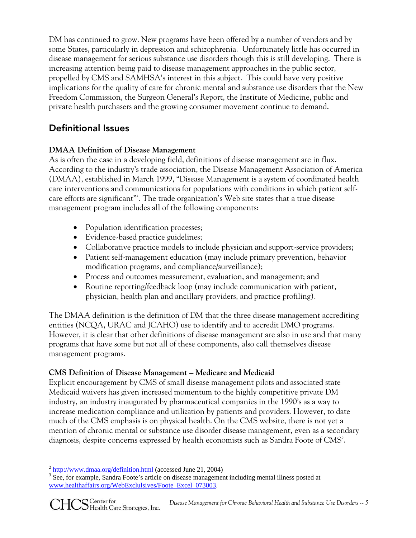DM has continued to grow. New programs have been offered by a number of vendors and by some States, particularly in depression and schizophrenia. Unfortunately little has occurred in disease management for serious substance use disorders though this is still developing. There is increasing attention being paid to disease management approaches in the public sector, propelled by CMS and SAMHSA's interest in this subject. This could have very positive implications for the quality of care for chronic mental and substance use disorders that the New Freedom Commission, the Surgeon General's Report, the Institute of Medicine, public and private health purchasers and the growing consumer movement continue to demand.

# Definitional Issues

## **DMAA Definition of Disease Management**

As is often the case in a developing field, definitions of disease management are in flux. According to the industry's trade association, the Disease Management Association of America (DMAA), established in March 1999, "Disease Management is a system of coordinated health care interventions and communications for populations with conditions in which patient selfcare efforts are significant"<sup>2</sup>. The trade organization's Web site states that a true disease management program includes all of the following components:

- Population identification processes;
- Evidence-based practice guidelines;
- Collaborative practice models to include physician and support-service providers;
- Patient self-management education (may include primary prevention, behavior modification programs, and compliance/surveillance);
- Process and outcomes measurement, evaluation, and management; and
- Routine reporting/feedback loop (may include communication with patient, physician, health plan and ancillary providers, and practice profiling).

The DMAA definition is the definition of DM that the three disease management accrediting entities (NCQA, URAC and JCAHO) use to identify and to accredit DMO programs. However, it is clear that other definitions of disease management are also in use and that many programs that have some but not all of these components, also call themselves disease management programs.

## **CMS Definition of Disease Management – Medicare and Medicaid**

Explicit encouragement by CMS of small disease management pilots and associated state Medicaid waivers has given increased momentum to the highly competitive private DM industry, an industry inaugurated by pharmaceutical companies in the 1990's as a way to increase medication compliance and utilization by patients and providers. However, to date much of the CMS emphasis is on physical health. On the CMS website, there is not yet a mention of chronic mental or substance use disorder disease management, even as a secondary diagnosis, despite concerns expressed by health economists such as Sandra Foote of CMS $^3$ .

<sup>-</sup> $\frac{2 \text{ http://www.dmaa.org/definition.html}}{3 \text{ Soc-form} }$  (accessed June 21, 2004)

<sup>&</sup>lt;sup>3</sup> See, for example, Sandra Foote's article on disease management including mental illness posted at www.healthaffairs.org/WebExclulsives/Foote\_Excel\_073003.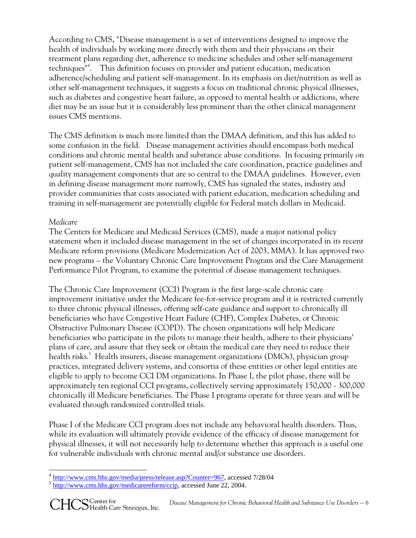According to CMS, "Disease management is a set of interventions designed to improve the health of individuals by working more directly with them and their physicians on their treatment plans regarding diet, adherence to medicine schedules and other self-management techniques"4 . This definition focuses on provider and patient education, medication adherence/scheduling and patient self-management. In its emphasis on diet/nutrition as well as other self-management techniques, it suggests a focus on traditional chronic physical illnesses, such as diabetes and congestive heart failure, as opposed to mental health or addictions, where diet may be an issue but it is considerably less prominent than the other clinical management issues CMS mentions.

The CMS definition is much more limited than the DMAA definition, and this has added to some confusion in the field. Disease management activities should encompass both medical conditions and chronic mental health and substance abuse conditions. In focusing primarily on patient self-management, CMS has not included the care coordination, practice guidelines and quality management components that are so central to the DMAA guidelines. However, even in defining disease management more narrowly, CMS has signaled the states, industry and provider communities that costs associated with patient education, medication scheduling and training in self-management are potentially eligible for Federal match dollars in Medicaid.

## *Medicare*

The Centers for Medicare and Medicaid Services (CMS), made a major national policy statement when it included disease management in the set of changes incorporated in its recent Medicare reform provisions (Medicare Modernization Act of 2003, MMA). It has approved two new programs – the Voluntary Chronic Care Improvement Program and the Care Management Performance Pilot Program, to examine the potential of disease management techniques.

The Chronic Care Improvement (CCI) Program is the first large-scale chronic care improvement initiative under the Medicare fee-for-service program and it is restricted currently to three chronic physical illnesses, offering self-care guidance and support to chronically ill beneficiaries who have Congestive Heart Failure (CHF), Complex Diabetes, or Chronic Obstructive Pulmonary Disease (COPD). The chosen organizations will help Medicare beneficiaries who participate in the pilots to manage their health, adhere to their physicians' plans of care, and assure that they seek or obtain the medical care they need to reduce their health risks.<sup>5</sup> Health insurers, disease management organizations (DMOs), physician group practices, integrated delivery systems, and consortia of these entities or other legal entities are eligible to apply to become CCI DM organizations. In Phase I, the pilot phase, there will be approximately ten regional CCI programs, collectively serving approximately 150,000 - 300,000 chronically ill Medicare beneficiaries. The Phase I programs operate for three years and will be evaluated through randomized controlled trials.

Phase I of the Medicare CCI program does not include any behavioral health disorders. Thus, while its evaluation will ultimately provide evidence of the efficacy of disease management for physical illnesses, it will not necessarily help to determine whether this approach is a useful one for vulnerable individuals with chronic mental and/or substance use disorders.

  $\frac{4 \text{ http://www.cms.hhs.gov/media/press/release.asp?Counter=967}}{5 \text{ http://www.cms.hhs.gov/medicarereform/ccip, accessed June 22, 2004.}}$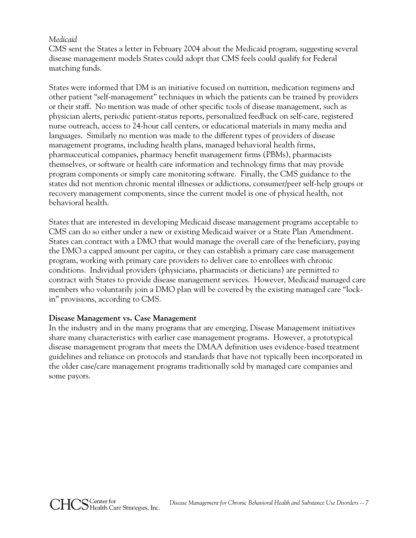#### *Medicaid*

CMS sent the States a letter in February 2004 about the Medicaid program, suggesting several disease management models States could adopt that CMS feels could qualify for Federal matching funds.

States were informed that DM is an initiative focused on nutrition, medication regimens and other patient "self-management" techniques in which the patients can be trained by providers or their staff. No mention was made of other specific tools of disease management, such as physician alerts, periodic patient-status reports, personalized feedback on self-care, registered nurse outreach, access to 24-hour call centers, or educational materials in many media and languages. Similarly no mention was made to the different types of providers of disease management programs, including health plans, managed behavioral health firms, pharmaceutical companies, pharmacy benefit management firms (PBMs), pharmacists themselves, or software or health care information and technology firms that may provide program components or simply care monitoring software. Finally, the CMS guidance to the states did not mention chronic mental illnesses or addictions, consumer/peer self-help groups or recovery management components, since the current model is one of physical health, not behavioral health.

States that are interested in developing Medicaid disease management programs acceptable to CMS can do so either under a new or existing Medicaid waiver or a State Plan Amendment. States can contract with a DMO that would manage the overall care of the beneficiary, paying the DMO a capped amount per capita, or they can establish a primary care case management program, working with primary care providers to deliver care to enrollees with chronic conditions. Individual providers (physicians, pharmacists or dieticians) are permitted to contract with States to provide disease management services. However, Medicaid managed care members who voluntarily join a DMO plan will be covered by the existing managed care "lockin" provisions, according to CMS.

#### **Disease Management vs. Case Management**

In the industry and in the many programs that are emerging, Disease Management initiatives share many characteristics with earlier case management programs. However, a prototypical disease management program that meets the DMAA definition uses evidence-based treatment guidelines and reliance on protocols and standards that have not typically been incorporated in the older case/care management programs traditionally sold by managed care companies and some payors.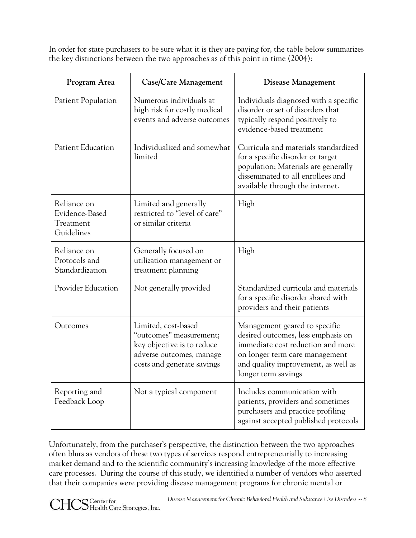In order for state purchasers to be sure what it is they are paying for, the table below summarizes the key distinctions between the two approaches as of this point in time (2004):

| Program Area                                             | Case/Care Management                                                                                                                   | <b>Disease Management</b>                                                                                                                                                                                |
|----------------------------------------------------------|----------------------------------------------------------------------------------------------------------------------------------------|----------------------------------------------------------------------------------------------------------------------------------------------------------------------------------------------------------|
| Patient Population                                       | Numerous individuals at<br>high risk for costly medical<br>events and adverse outcomes                                                 | Individuals diagnosed with a specific<br>disorder or set of disorders that<br>typically respond positively to<br>evidence-based treatment                                                                |
| Patient Education                                        | Individualized and somewhat<br>limited                                                                                                 | Curricula and materials standardized<br>for a specific disorder or target<br>population; Materials are generally<br>disseminated to all enrollees and<br>available through the internet.                 |
| Reliance on<br>Evidence-Based<br>Treatment<br>Guidelines | Limited and generally<br>restricted to "level of care"<br>or similar criteria                                                          | High                                                                                                                                                                                                     |
| Reliance on<br>Protocols and<br>Standardization          | Generally focused on<br>utilization management or<br>treatment planning                                                                | High                                                                                                                                                                                                     |
| Provider Education                                       | Not generally provided                                                                                                                 | Standardized curricula and materials<br>for a specific disorder shared with<br>providers and their patients                                                                                              |
| Outcomes                                                 | Limited, cost-based<br>"outcomes" measurement;<br>key objective is to reduce<br>adverse outcomes, manage<br>costs and generate savings | Management geared to specific<br>desired outcomes, less emphasis on<br>immediate cost reduction and more<br>on longer term care management<br>and quality improvement, as well as<br>longer term savings |
| Reporting and<br>Feedback Loop                           | Not a typical component                                                                                                                | Includes communication with<br>patients, providers and sometimes<br>purchasers and practice profiling<br>against accepted published protocols                                                            |

Unfortunately, from the purchaser's perspective, the distinction between the two approaches often blurs as vendors of these two types of services respond entrepreneurially to increasing market demand and to the scientific community's increasing knowledge of the more effective care processes. During the course of this study, we identified a number of vendors who asserted that their companies were providing disease management programs for chronic mental or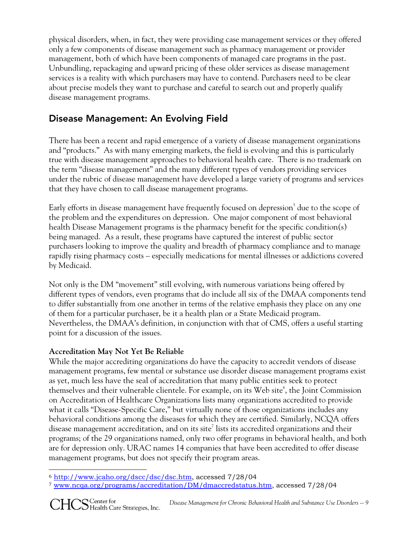physical disorders, when, in fact, they were providing case management services or they offered only a few components of disease management such as pharmacy management or provider management, both of which have been components of managed care programs in the past. Unbundling, repackaging and upward pricing of these older services as disease management services is a reality with which purchasers may have to contend. Purchasers need to be clear about precise models they want to purchase and careful to search out and properly qualify disease management programs.

# Disease Management: An Evolving Field

There has been a recent and rapid emergence of a variety of disease management organizations and "products." As with many emerging markets, the field is evolving and this is particularly true with disease management approaches to behavioral health care. There is no trademark on the term "disease management" and the many different types of vendors providing services under the rubric of disease management have developed a large variety of programs and services that they have chosen to call disease management programs.

Early efforts in disease management have frequently focused on depression $^5$  due to the scope of the problem and the expenditures on depression. One major component of most behavioral health Disease Management programs is the pharmacy benefit for the specific condition(s) being managed. As a result, these programs have captured the interest of public sector purchasers looking to improve the quality and breadth of pharmacy compliance and to manage rapidly rising pharmacy costs – especially medications for mental illnesses or addictions covered by Medicaid.

Not only is the DM "movement" still evolving, with numerous variations being offered by different types of vendors, even programs that do include all six of the DMAA components tend to differ substantially from one another in terms of the relative emphasis they place on any one of them for a particular purchaser, be it a health plan or a State Medicaid program. Nevertheless, the DMAA's definition, in conjunction with that of CMS, offers a useful starting point for a discussion of the issues.

## **Accreditation May Not Yet Be Reliable**

While the major accrediting organizations do have the capacity to accredit vendors of disease management programs, few mental or substance use disorder disease management programs exist as yet, much less have the seal of accreditation that many public entities seek to protect themselves and their vulnerable clientele. For example, on its Web site<sup>6</sup>, the Joint Commission on Accreditation of Healthcare Organizations lists many organizations accredited to provide what it calls "Disease-Specific Care," but virtually none of those organizations includes any behavioral conditions among the diseases for which they are certified. Similarly, NCQA offers disease management accreditation, and on its site<sup>7</sup> lists its accredited organizations and their programs; of the 29 organizations named, only two offer programs in behavioral health, and both are for depression only. URAC names 14 companies that have been accredited to offer disease management programs, but does not specify their program areas.

 <sup>6</sup> http://www.jcaho.org/dscc/dsc/dsc.htm, accessed 7/28/04

<sup>7</sup> www.ncqa.org/programs/accreditation/DM/dmaccredstatus.htm, accessed 7/28/04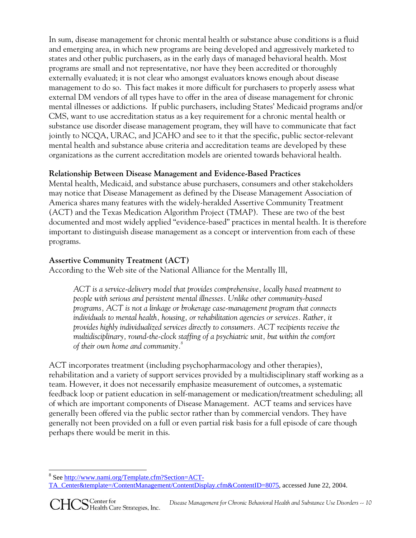In sum, disease management for chronic mental health or substance abuse conditions is a fluid and emerging area, in which new programs are being developed and aggressively marketed to states and other public purchasers, as in the early days of managed behavioral health. Most programs are small and not representative, nor have they been accredited or thoroughly externally evaluated; it is not clear who amongst evaluators knows enough about disease management to do so. This fact makes it more difficult for purchasers to properly assess what external DM vendors of all types have to offer in the area of disease management for chronic mental illnesses or addictions. If public purchasers, including States' Medicaid programs and/or CMS, want to use accreditation status as a key requirement for a chronic mental health or substance use disorder disease management program, they will have to communicate that fact jointly to NCQA, URAC, and JCAHO and see to it that the specific, public sector-relevant mental health and substance abuse criteria and accreditation teams are developed by these organizations as the current accreditation models are oriented towards behavioral health.

## **Relationship Between Disease Management and Evidence-Based Practices**

Mental health, Medicaid, and substance abuse purchasers, consumers and other stakeholders may notice that Disease Management as defined by the Disease Management Association of America shares many features with the widely-heralded Assertive Community Treatment (ACT) and the Texas Medication Algorithm Project (TMAP). These are two of the best documented and most widely applied "evidence-based" practices in mental health. It is therefore important to distinguish disease management as a concept or intervention from each of these programs.

## **Assertive Community Treatment (ACT)**

According to the Web site of the National Alliance for the Mentally Ill,

*ACT is a service-delivery model that provides comprehensive, locally based treatment to people with serious and persistent mental illnesses. Unlike other community-based programs, ACT is not a linkage or brokerage case-management program that connects individuals to mental health, housing, or rehabilitation agencies or services. Rather, it provides highly individualized services directly to consumers. ACT recipients receive the multidisciplinary, round-the-clock staffing of a psychiatric unit, but within the comfort of their own home and community.8*

ACT incorporates treatment (including psychopharmacology and other therapies), rehabilitation and a variety of support services provided by a multidisciplinary staff working as a team. However, it does not necessarily emphasize measurement of outcomes, a systematic feedback loop or patient education in self-management or medication/treatment scheduling; all of which are important components of Disease Management. ACT teams and services have generally been offered via the public sector rather than by commercial vendors. They have generally not been provided on a full or even partial risk basis for a full episode of care though perhaps there would be merit in this.

<sup>&</sup>lt;sup>8</sup> See http://www.nami.org/Template.cfm?Section=ACT-

TA\_Center&template=/ContentManagement/ContentDisplay.cfm&ContentID=8075, accessed June 22, 2004.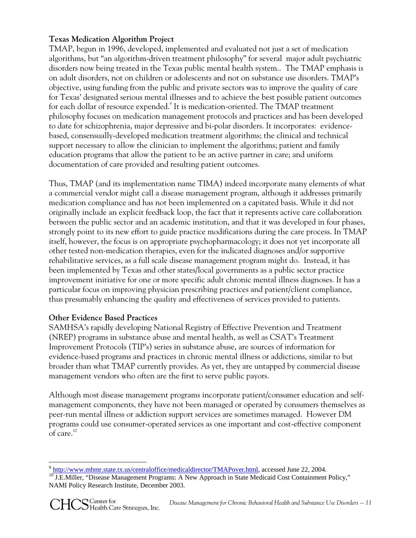## **Texas Medication Algorithm Project**

TMAP, begun in 1996, developed, implemented and evaluated not just a set of medication algorithms, but "an algorithm-driven treatment philosophy" for several major adult psychiatric disorders now being treated in the Texas public mental health system.. The TMAP emphasis is on adult disorders, not on children or adolescents and not on substance use disorders. TMAP's objective, using funding from the public and private sectors was to improve the quality of care for Texas' designated serious mental illnesses and to achieve the best possible patient outcomes for each dollar of resource expended.<sup>9</sup> It is medication-oriented. The TMAP treatment philosophy focuses on medication management protocols and practices and has been developed to date for schizophrenia, major depressive and bi-polar disorders. It incorporates: evidencebased, consensually-developed medication treatment algorithms; the clinical and technical support necessary to allow the clinician to implement the algorithms; patient and family education programs that allow the patient to be an active partner in care; and uniform documentation of care provided and resulting patient outcomes.

Thus, TMAP (and its implementation name TIMA) indeed incorporate many elements of what a commercial vendor might call a disease management program, although it addresses primarily medication compliance and has not been implemented on a capitated basis. While it did not originally include an explicit feedback loop, the fact that it represents active care collaboration between the public sector and an academic institution, and that it was developed in four phases, strongly point to its new effort to guide practice modifications during the care process. In TMAP itself, however, the focus is on appropriate psychopharmacology; it does not yet incorporate all other tested non-medication therapies, even for the indicated diagnoses and/or supportive rehabilitative services, as a full scale disease management program might do. Instead, it has been implemented by Texas and other states/local governments as a public sector practice improvement initiative for one or more specific adult chronic mental illness diagnoses. It has a particular focus on improving physician prescribing practices and patient/client compliance, thus presumably enhancing the quality and effectiveness of services provided to patients.

#### **Other Evidence Based Practices**

SAMHSA's rapidly developing National Registry of Effective Prevention and Treatment (NREP) programs in substance abuse and mental health, as well as CSAT's Treatment Improvement Protocols (TIP's) series in substance abuse, are sources of information for evidence-based programs and practices in chronic mental illness or addictions, similar to but broader than what TMAP currently provides. As yet, they are untapped by commercial disease management vendors who often are the first to serve public payors.

Although most disease management programs incorporate patient/consumer education and selfmanagement components, they have not been managed or operated by consumers themselves as peer-run mental illness or addiction support services are sometimes managed. However DM programs could use consumer-operated services as one important and cost-effective component of care.<sup>10</sup>

<sup>&</sup>lt;sup>9</sup> http://www.mhmr.state.tx.us/centraloffice/medicaldirector/TMAPover.html. accessed June 22, 2004.

<sup>&</sup>lt;sup>10</sup> J.E.Miller, "Disease Management Programs: A New Approach in State Medicaid Cost Containment Policy," NAMI Policy Research Institute, December 2003.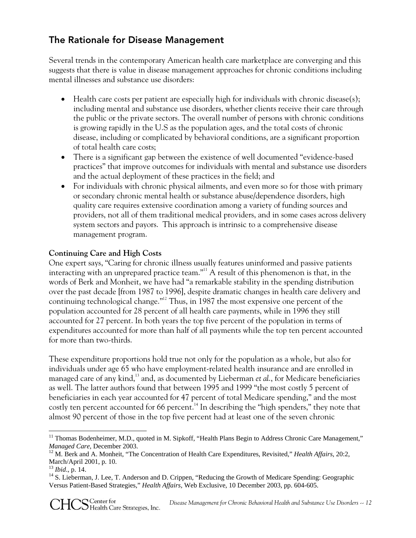## The Rationale for Disease Management

Several trends in the contemporary American health care marketplace are converging and this suggests that there is value in disease management approaches for chronic conditions including mental illnesses and substance use disorders:

- Health care costs per patient are especially high for individuals with chronic disease(s); including mental and substance use disorders, whether clients receive their care through the public or the private sectors. The overall number of persons with chronic conditions is growing rapidly in the U.S as the population ages, and the total costs of chronic disease, including or complicated by behavioral conditions, are a significant proportion of total health care costs;
- There is a significant gap between the existence of well documented "evidence-based practices" that improve outcomes for individuals with mental and substance use disorders and the actual deployment of these practices in the field; and
- For individuals with chronic physical ailments, and even more so for those with primary or secondary chronic mental health or substance abuse/dependence disorders, high quality care requires extensive coordination among a variety of funding sources and providers, not all of them traditional medical providers, and in some cases across delivery system sectors and payors. This approach is intrinsic to a comprehensive disease management program.

## **Continuing Care and High Costs**

One expert says, "Caring for chronic illness usually features uninformed and passive patients interacting with an unprepared practice team."<sup>11</sup> A result of this phenomenon is that, in the words of Berk and Monheit, we have had "a remarkable stability in the spending distribution over the past decade [from 1987 to 1996], despite dramatic changes in health care delivery and continuing technological change."12 Thus, in 1987 the most expensive one percent of the population accounted for 28 percent of all health care payments, while in 1996 they still accounted for 27 percent. In both years the top five percent of the population in terms of expenditures accounted for more than half of all payments while the top ten percent accounted for more than two-thirds.

These expenditure proportions hold true not only for the population as a whole, but also for individuals under age 65 who have employment-related health insurance and are enrolled in managed care of any kind,<sup>13</sup> and, as documented by Lieberman *et al.*, for Medicare beneficiaries as well. The latter authors found that between 1995 and 1999 "the most costly 5 percent of beneficiaries in each year accounted for 47 percent of total Medicare spending," and the most costly ten percent accounted for 66 percent.<sup>14</sup> In describing the "high spenders," they note that almost 90 percent of those in the top five percent had at least one of the seven chronic

 <sup>11</sup> Thomas Bodenheimer, M.D., quoted in M. Sipkoff, "Health Plans Begin to Address Chronic Care Management," *Managed Care*, December 2003.<br><sup>12</sup> M. Berk and A. Monheit, "The Concentration of Health Care Expenditures, Revisited," *Health Affairs*, 20:2,

March/April 2001, p. 10.<br><sup>13</sup> Ibid., p. 14.

<sup>&</sup>lt;sup>14</sup> S. Lieberman, J. Lee, T. Anderson and D. Crippen, "Reducing the Growth of Medicare Spending: Geographic Versus Patient-Based Strategies," *Health Affairs*, Web Exclusive, 10 December 2003, pp. 604-605.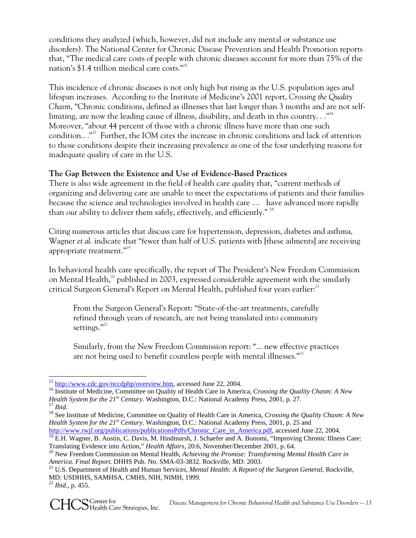conditions they analyzed (which, however, did not include any mental or substance use disorders). The National Center for Chronic Disease Prevention and Health Promotion reports that, "The medical care costs of people with chronic diseases account for more than 75% of the nation's \$1.4 trillion medical care costs."15

This incidence of chronic diseases is not only high but rising as the U.S. population ages and lifespan increases. According to the Institute of Medicine's 2001 report, *Crossing the Quality Chasm*, "Chronic conditions, defined as illnesses that last longer than 3 months and are not selflimiting, are now the leading cause of illness, disability, and death in this country..."<sup>16</sup> Moreover, "about 44 percent of those with a chronic illness have more than one such condition.. ."17 Further, the IOM cites the increase in chronic conditions and lack of attention to those conditions despite their increasing prevalence as one of the four underlying reasons for inadequate quality of care in the U.S.

## **The Gap Between the Existence and Use of Evidence-Based Practices**

There is also wide agreement in the field of health care quality that, "current methods of organizing and delivering care are unable to meet the expectations of patients and their families because the science and technologies involved in health care … have advanced more rapidly than our ability to deliver them safely, effectively, and efficiently." <sup>18</sup>

Citing numerous articles that discuss care for hypertension, depression, diabetes and asthma, Wagner *et al*. indicate that "fewer than half of U.S. patients with [these ailments] are receiving appropriate treatment."19

In behavioral health care specifically, the report of The President's New Freedom Commission on Mental Health,<sup>20</sup> published in 2003, expressed considerable agreement with the similarly critical Surgeon General's Report on Mental Health, published four years earlier: $^{\scriptscriptstyle 21}$ 

From the Surgeon General's Report: "State-of-the-art treatments, carefully refined through years of research, are not being translated into community settings."<sup>22</sup>

Similarly, from the New Freedom Commission report: "... new effective practices are not being used to benefit countless people with mental illnesses."<sup>23</sup>

<sup>&</sup>lt;sup>15</sup> http://www.cdc.gov/nccdphp/overview.htm, accessed June 22, 2004.

<sup>&</sup>lt;sup>16</sup> Institute of Medicine, Committee on Quality of Health Care in America, *Crossing the Quality Chasm: A New Health System for the*  $21^{st}$  *Century.* Washington, D.C.: National Academy Press, 2001, p. 27.

<sup>&</sup>lt;sup>17</sup> Ibid.<br><sup>18</sup> See Institute of Medicine, Committee on Quality of Health Care in America, *Crossing the Quality Chasm: A New Health System for the 21st Century*. Washington, D.C.: National Academy Press, 2001, p. 25 and http://www.rwjf.org/publications/publicationsPdfs/Chronic\_Care\_in\_America.pdf, accessed June 22, 2004.

<sup>&</sup>lt;sup>19</sup> E.H. Wagner, B. Austin, C. Davis, M. Hindmarsh, J. Schaefer and A. Bonomi, "Improving Chronic Illness Care:<br>Translating Evidence into Action," *Health Affairs*, 20:6, November/December 2001, p. 64.

<sup>&</sup>lt;sup>20</sup> New Freedom Commission on Mental Health, *Achieving the Promise: Transforming Mental Health Care in America. Final Report*. DHHS Pub. No. SMA-03-3832. Rockville, MD: 2003.<br><sup>21</sup> U.S. Department of Health and Human Services, *Mental Health: A Report of the Surgeon General*, Rockville,

MD: USDHHS, SAMHSA, CMHS, NIH, NIMH, 1999. <sup>22</sup> *Ibid*., p. 455.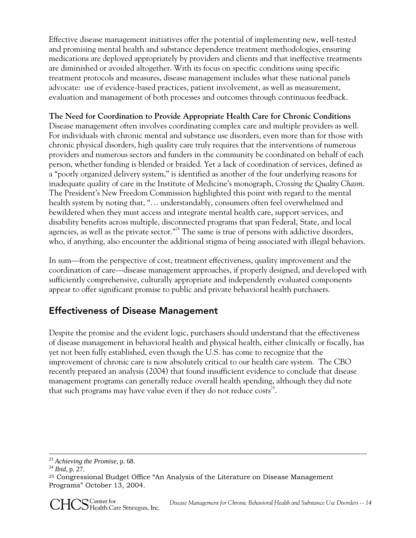Effective disease management initiatives offer the potential of implementing new, well-tested and promising mental health and substance dependence treatment methodologies, ensuring medications are deployed appropriately by providers and clients and that ineffective treatments are diminished or avoided altogether. With its focus on specific conditions using specific treatment protocols and measures, disease management includes what these national panels advocate: use of evidence-based practices, patient involvement, as well as measurement, evaluation and management of both processes and outcomes through continuous feedback.

## **The Need for Coordination to Provide Appropriate Health Care for Chronic Conditions**

Disease management often involves coordinating complex care and multiple providers as well. For individuals with chronic mental and substance use disorders, even more than for those with chronic physical disorders, high quality care truly requires that the interventions of numerous providers and numerous sectors and funders in the community be coordinated on behalf of each person, whether funding is blended or braided. Yet a lack of coordination of services, defined as a "poorly organized delivery system," is identified as another of the four underlying reasons for inadequate quality of care in the Institute of Medicine's monograph, *Crossing the Quality Chasm*. The President's New Freedom Commission highlighted this point with regard to the mental health system by noting that, "… understandably, consumers often feel overwhelmed and bewildered when they must access and integrate mental health care, support services, and disability benefits across multiple, disconnected programs that span Federal, State, and local agencies, as well as the private sector."<sup>24</sup> The same is true of persons with addictive disorders, who, if anything, also encounter the additional stigma of being associated with illegal behaviors.

In sum—from the perspective of cost, treatment effectiveness, quality improvement and the coordination of care—disease management approaches, if properly designed, and developed with sufficiently comprehensive, culturally appropriate and independently evaluated components appear to offer significant promise to public and private behavioral health purchasers.

## Effectiveness of Disease Management

Despite the promise and the evident logic, purchasers should understand that the effectiveness of disease management in behavioral health and physical health, either clinically or fiscally, has yet not been fully established, even though the U.S. has come to recognize that the improvement of chronic care is now absolutely critical to our health care system. The CBO recently prepared an analysis (2004) that found insufficient evidence to conclude that disease management programs can generally reduce overall health spending, although they did note that such programs may have value even if they do not reduce  $costs^{25}$ .

<sup>23</sup> *Achieving the Promise,* p. 68. 24 *Ibid*, p. 27.

<sup>25</sup> Congressional Budget Office "An Analysis of the Literature on Disease Management Programs" October 13, 2004.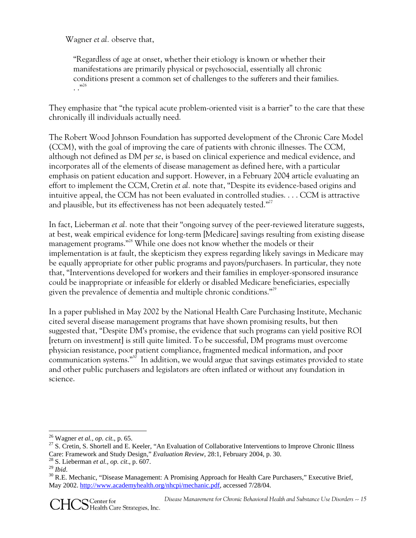Wagner *et al.* observe that,

"Regardless of age at onset, whether their etiology is known or whether their manifestations are primarily physical or psychosocial, essentially all chronic conditions present a common set of challenges to the sufferers and their families.  $...$ <sup>26</sup>

They emphasize that "the typical acute problem-oriented visit is a barrier" to the care that these chronically ill individuals actually need.

The Robert Wood Johnson Foundation has supported development of the Chronic Care Model (CCM), with the goal of improving the care of patients with chronic illnesses. The CCM, although not defined as DM *per se*, is based on clinical experience and medical evidence, and incorporates all of the elements of disease management as defined here, with a particular emphasis on patient education and support. However, in a February 2004 article evaluating an effort to implement the CCM, Cretin *et al.* note that, "Despite its evidence-based origins and intuitive appeal, the CCM has not been evaluated in controlled studies. . . . CCM is attractive and plausible, but its effectiveness has not been adequately tested."<sup>27</sup>

In fact, Lieberman *et al.* note that their "ongoing survey of the peer-reviewed literature suggests, at best, weak empirical evidence for long-term [Medicare] savings resulting from existing disease management programs."<sup>28</sup> While one does not know whether the models or their implementation is at fault, the skepticism they express regarding likely savings in Medicare may be equally appropriate for other public programs and payors/purchasers. In particular, they note that, "Interventions developed for workers and their families in employer-sponsored insurance could be inappropriate or infeasible for elderly or disabled Medicare beneficiaries, especially given the prevalence of dementia and multiple chronic conditions."29

In a paper published in May 2002 by the National Health Care Purchasing Institute, Mechanic cited several disease management programs that have shown promising results, but then suggested that, "Despite DM's promise, the evidence that such programs can yield positive ROI [return on investment] is still quite limited. To be successful, DM programs must overcome physician resistance, poor patient compliance, fragmented medical information, and poor communication systems."<sup>30</sup> In addition, we would argue that savings estimates provided to state and other public purchasers and legislators are often inflated or without any foundation in science.

<sup>&</sup>lt;sup>26</sup> Wagner *et al., op. cit.*, p. 65.<br><sup>27</sup> S. Cretin, S. Shortell and E. Keeler, "An Evaluation of Collaborative Interventions to Improve Chronic Illness Care: Framework and Study Design," *Evaluation Review*, 28:1, February 2004, p. 30.<br><sup>28</sup> S. Lieberman *et al., op. cit.*, p. 607.<br><sup>29</sup> *Ibid.* 

<sup>&</sup>lt;sup>30</sup> R.E. Mechanic, "Disease Management: A Promising Approach for Health Care Purchasers," Executive Brief, May 2002. http://www.academyhealth.org/nhcpi/mechanic.pdf, accessed 7/28/04.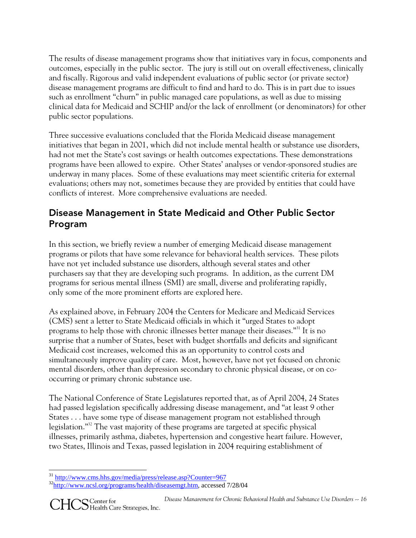The results of disease management programs show that initiatives vary in focus, components and outcomes, especially in the public sector. The jury is still out on overall effectiveness, clinically and fiscally. Rigorous and valid independent evaluations of public sector (or private sector) disease management programs are difficult to find and hard to do. This is in part due to issues such as enrollment "churn" in public managed care populations, as well as due to missing clinical data for Medicaid and SCHIP and/or the lack of enrollment (or denominators) for other public sector populations.

Three successive evaluations concluded that the Florida Medicaid disease management initiatives that began in 2001, which did not include mental health or substance use disorders, had not met the State's cost savings or health outcomes expectations. These demonstrations programs have been allowed to expire. Other States' analyses or vendor-sponsored studies are underway in many places. Some of these evaluations may meet scientific criteria for external evaluations; others may not, sometimes because they are provided by entities that could have conflicts of interest. More comprehensive evaluations are needed.

## Disease Management in State Medicaid and Other Public Sector Program

In this section, we briefly review a number of emerging Medicaid disease management programs or pilots that have some relevance for behavioral health services. These pilots have not yet included substance use disorders, although several states and other purchasers say that they are developing such programs. In addition, as the current DM programs for serious mental illness (SMI) are small, diverse and proliferating rapidly, only some of the more prominent efforts are explored here.

As explained above, in February 2004 the Centers for Medicare and Medicaid Services (CMS) sent a letter to State Medicaid officials in which it "urged States to adopt programs to help those with chronic illnesses better manage their diseases."31 It is no surprise that a number of States, beset with budget shortfalls and deficits and significant Medicaid cost increases, welcomed this as an opportunity to control costs and simultaneously improve quality of care. Most, however, have not yet focused on chronic mental disorders, other than depression secondary to chronic physical disease, or on cooccurring or primary chronic substance use.

The National Conference of State Legislatures reported that, as of April 2004, 24 States had passed legislation specifically addressing disease management, and "at least 9 other States . . . have some type of disease management program not established through legislation."32 The vast majority of these programs are targeted at specific physical illnesses, primarily asthma, diabetes, hypertension and congestive heart failure. However, two States, Illinois and Texas, passed legislation in 2004 requiring establishment of

<sup>&</sup>lt;sup>31</sup> http://www.cms.hhs.gov/media/press/release.asp?Counter=967

<sup>32</sup>http://www.ncsl.org/programs/health/diseasemgt.htm, accessed 7/28/04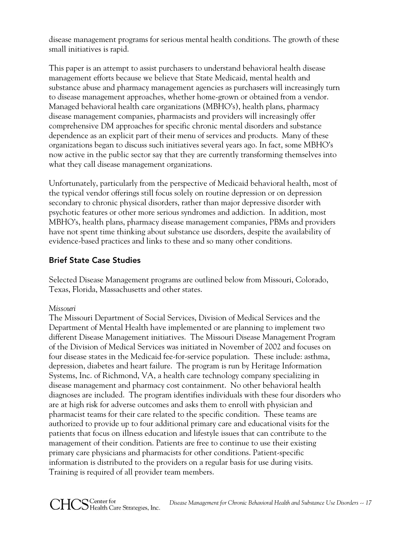disease management programs for serious mental health conditions. The growth of these small initiatives is rapid.

This paper is an attempt to assist purchasers to understand behavioral health disease management efforts because we believe that State Medicaid, mental health and substance abuse and pharmacy management agencies as purchasers will increasingly turn to disease management approaches, whether home-grown or obtained from a vendor. Managed behavioral health care organizations (MBHO's), health plans, pharmacy disease management companies, pharmacists and providers will increasingly offer comprehensive DM approaches for specific chronic mental disorders and substance dependence as an explicit part of their menu of services and products. Many of these organizations began to discuss such initiatives several years ago. In fact, some MBHO's now active in the public sector say that they are currently transforming themselves into what they call disease management organizations.

Unfortunately, particularly from the perspective of Medicaid behavioral health, most of the typical vendor offerings still focus solely on routine depression or on depression secondary to chronic physical disorders, rather than major depressive disorder with psychotic features or other more serious syndromes and addiction. In addition, most MBHO's, health plans, pharmacy disease management companies, PBMs and providers have not spent time thinking about substance use disorders, despite the availability of evidence-based practices and links to these and so many other conditions.

## Brief State Case Studies

Selected Disease Management programs are outlined below from Missouri, Colorado, Texas, Florida, Massachusetts and other states.

#### *Missouri*

The Missouri Department of Social Services, Division of Medical Services and the Department of Mental Health have implemented or are planning to implement two different Disease Management initiatives. The Missouri Disease Management Program of the Division of Medical Services was initiated in November of 2002 and focuses on four disease states in the Medicaid fee-for-service population. These include: asthma, depression, diabetes and heart failure. The program is run by Heritage Information Systems, Inc. of Richmond, VA, a health care technology company specializing in disease management and pharmacy cost containment. No other behavioral health diagnoses are included. The program identifies individuals with these four disorders who are at high risk for adverse outcomes and asks them to enroll with physician and pharmacist teams for their care related to the specific condition. These teams are authorized to provide up to four additional primary care and educational visits for the patients that focus on illness education and lifestyle issues that can contribute to the management of their condition. Patients are free to continue to use their existing primary care physicians and pharmacists for other conditions. Patient-specific information is distributed to the providers on a regular basis for use during visits. Training is required of all provider team members.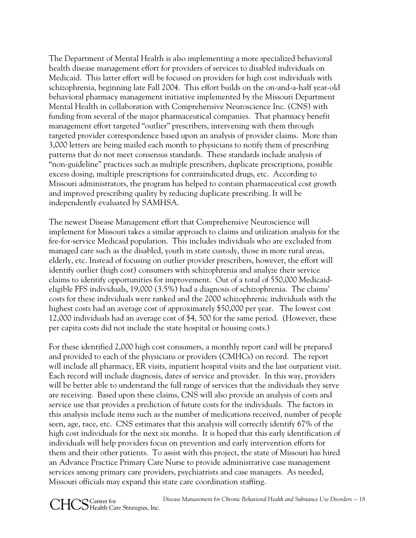The Department of Mental Health is also implementing a more specialized behavioral health disease management effort for providers of services to disabled individuals on Medicaid. This latter effort will be focused on providers for high cost individuals with schizophrenia, beginning late Fall 2004. This effort builds on the on-and-a-half year-old behavioral pharmacy management initiative implemented by the Missouri Department Mental Health in collaboration with Comprehensive Neuroscience Inc. (CNS) with funding from several of the major pharmaceutical companies. That pharmacy benefit management effort targeted "outlier" prescribers, intervening with them through targeted provider correspondence based upon an analysis of provider claims. More than 3,000 letters are being mailed each month to physicians to notify them of prescribing patterns that do not meet consensus standards. These standards include analysis of "non-guideline" practices such as multiple prescribers, duplicate prescriptions, possible excess dosing, multiple prescriptions for contraindicated drugs, etc. According to Missouri administrators, the program has helped to contain pharmaceutical cost growth and improved prescribing quality by reducing duplicate prescribing. It will be independently evaluated by SAMHSA.

The newest Disease Management effort that Comprehensive Neuroscience will implement for Missouri takes a similar approach to claims and utilization analysis for the fee-for-service Medicaid population. This includes individuals who are excluded from managed care such as the disabled, youth in state custody, those in more rural areas, elderly, etc. Instead of focusing on outlier provider prescribers, however, the effort will identify outlier (high cost) consumers with schizophrenia and analyze their service claims to identify opportunities for improvement. Out of a total of 550,000 Medicaideligible FFS individuals, 19,000 (3.5%) had a diagnosis of schizophrenia. The claims' costs for these individuals were ranked and the 2000 schizophrenic individuals with the highest costs had an average cost of approximately \$50,000 per year. The lowest cost 12,000 individuals had an average cost of \$4, 500 for the same period. (However, these per capita costs did not include the state hospital or housing costs.)

For these identified 2,000 high cost consumers, a monthly report card will be prepared and provided to each of the physicians or providers (CMHCs) on record. The report will include all pharmacy, ER visits, inpatient hospital visits and the last outpatient visit. Each record will include diagnosis, dates of service and provider. In this way, providers will be better able to understand the full range of services that the individuals they serve are receiving. Based upon these claims, CNS will also provide an analysis of costs and service use that provides a prediction of future costs for the individuals. The factors in this analysis include items such as the number of medications received, number of people seen, age, race, etc. CNS estimates that this analysis will correctly identify 67% of the high cost individuals for the next six months. It is hoped that this early identification of individuals will help providers focus on prevention and early intervention efforts for them and their other patients. To assist with this project, the state of Missouri has hired an Advance Practice Primary Care Nurse to provide administrative case management services among primary care providers, psychiatrists and case managers. As needed, Missouri officials may expand this state care coordination staffing.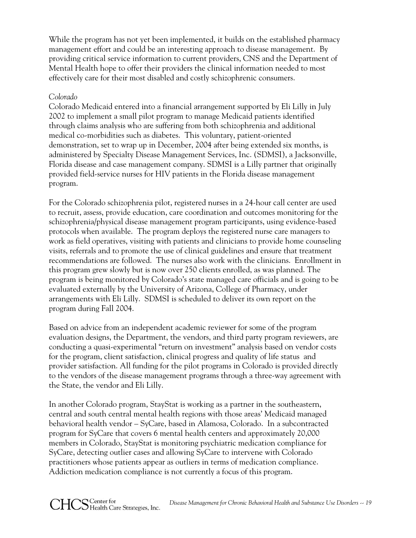While the program has not yet been implemented, it builds on the established pharmacy management effort and could be an interesting approach to disease management. By providing critical service information to current providers, CNS and the Department of Mental Health hope to offer their providers the clinical information needed to most effectively care for their most disabled and costly schizophrenic consumers.

#### *Colorado*

Colorado Medicaid entered into a financial arrangement supported by Eli Lilly in July 2002 to implement a small pilot program to manage Medicaid patients identified through claims analysis who are suffering from both schizophrenia and additional medical co-morbidities such as diabetes. This voluntary, patient-oriented demonstration, set to wrap up in December, 2004 after being extended six months, is administered by Specialty Disease Management Services, Inc. (SDMSI), a Jacksonville, Florida disease and case management company. SDMSI is a Lilly partner that originally provided field-service nurses for HIV patients in the Florida disease management program.

For the Colorado schizophrenia pilot, registered nurses in a 24-hour call center are used to recruit, assess, provide education, care coordination and outcomes monitoring for the schizophrenia/physical disease management program participants, using evidence-based protocols when available. The program deploys the registered nurse care managers to work as field operatives, visiting with patients and clinicians to provide home counseling visits, referrals and to promote the use of clinical guidelines and ensure that treatment recommendations are followed. The nurses also work with the clinicians. Enrollment in this program grew slowly but is now over 250 clients enrolled, as was planned. The program is being monitored by Colorado's state managed care officials and is going to be evaluated externally by the University of Arizona, College of Pharmacy, under arrangements with Eli Lilly. SDMSI is scheduled to deliver its own report on the program during Fall 2004.

Based on advice from an independent academic reviewer for some of the program evaluation designs, the Department, the vendors, and third party program reviewers, are conducting a quasi-experimental "return on investment" analysis based on vendor costs for the program, client satisfaction, clinical progress and quality of life status and provider satisfaction. All funding for the pilot programs in Colorado is provided directly to the vendors of the disease management programs through a three-way agreement with the State, the vendor and Eli Lilly.

In another Colorado program, StayStat is working as a partner in the southeastern, central and south central mental health regions with those areas' Medicaid managed behavioral health vendor – SyCare, based in Alamosa, Colorado. In a subcontracted program for SyCare that covers 6 mental health centers and approximately 20,000 members in Colorado, StayStat is monitoring psychiatric medication compliance for SyCare, detecting outlier cases and allowing SyCare to intervene with Colorado practitioners whose patients appear as outliers in terms of medication compliance. Addiction medication compliance is not currently a focus of this program.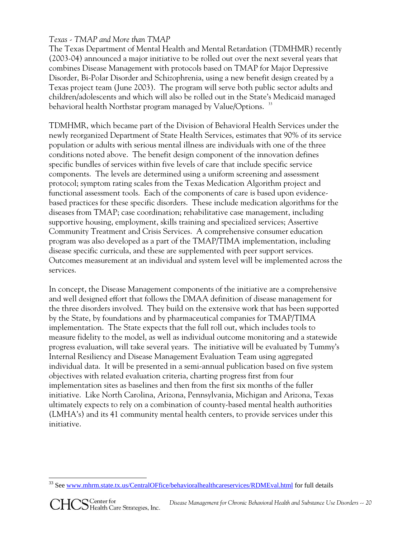## *Texas - TMAP and More than TMAP*

The Texas Department of Mental Health and Mental Retardation (TDMHMR) recently (2003-04) announced a major initiative to be rolled out over the next several years that combines Disease Management with protocols based on TMAP for Major Depressive Disorder, Bi-Polar Disorder and Schizophrenia, using a new benefit design created by a Texas project team (June 2003). The program will serve both public sector adults and children/adolescents and which will also be rolled out in the State's Medicaid managed behavioral health Northstar program managed by Value/Options.<sup>33</sup>

TDMHMR, which became part of the Division of Behavioral Health Services under the newly reorganized Department of State Health Services, estimates that 90% of its service population or adults with serious mental illness are individuals with one of the three conditions noted above. The benefit design component of the innovation defines specific bundles of services within five levels of care that include specific service components. The levels are determined using a uniform screening and assessment protocol; symptom rating scales from the Texas Medication Algorithm project and functional assessment tools. Each of the components of care is based upon evidencebased practices for these specific disorders. These include medication algorithms for the diseases from TMAP; case coordination; rehabilitative case management, including supportive housing, employment, skills training and specialized services; Assertive Community Treatment and Crisis Services. A comprehensive consumer education program was also developed as a part of the TMAP/TIMA implementation, including disease specific curricula, and these are supplemented with peer support services. Outcomes measurement at an individual and system level will be implemented across the services.

In concept, the Disease Management components of the initiative are a comprehensive and well designed effort that follows the DMAA definition of disease management for the three disorders involved. They build on the extensive work that has been supported by the State, by foundations and by pharmaceutical companies for TMAP/TIMA implementation. The State expects that the full roll out, which includes tools to measure fidelity to the model, as well as individual outcome monitoring and a statewide progress evaluation, will take several years. The initiative will be evaluated by Tummy's Internal Resiliency and Disease Management Evaluation Team using aggregated individual data. It will be presented in a semi-annual publication based on five system objectives with related evaluation criteria, charting progress first from four implementation sites as baselines and then from the first six months of the fuller initiative. Like North Carolina, Arizona, Pennsylvania, Michigan and Arizona, Texas ultimately expects to rely on a combination of county-based mental health authorities (LMHA's) and its 41 community mental health centers, to provide services under this initiative.

 <sup>33</sup> See www.mhrm.state.tx.us/CentralOFfice/behavioralhealthcareservices/RDMEval.html for full details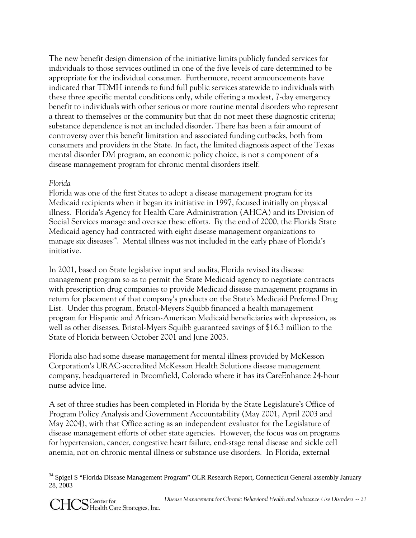The new benefit design dimension of the initiative limits publicly funded services for individuals to those services outlined in one of the five levels of care determined to be appropriate for the individual consumer. Furthermore, recent announcements have indicated that TDMH intends to fund full public services statewide to individuals with these three specific mental conditions only, while offering a modest, 7-day emergency benefit to individuals with other serious or more routine mental disorders who represent a threat to themselves or the community but that do not meet these diagnostic criteria; substance dependence is not an included disorder. There has been a fair amount of controversy over this benefit limitation and associated funding cutbacks, both from consumers and providers in the State. In fact, the limited diagnosis aspect of the Texas mental disorder DM program, an economic policy choice, is not a component of a disease management program for chronic mental disorders itself.

## *Florida*

Florida was one of the first States to adopt a disease management program for its Medicaid recipients when it began its initiative in 1997, focused initially on physical illness. Florida's Agency for Health Care Administration (AHCA) and its Division of Social Services manage and oversee these efforts. By the end of 2000, the Florida State Medicaid agency had contracted with eight disease management organizations to manage six diseases<sup>34</sup>. Mental illness was not included in the early phase of Florida's initiative.

In 2001, based on State legislative input and audits, Florida revised its disease management program so as to permit the State Medicaid agency to negotiate contracts with prescription drug companies to provide Medicaid disease management programs in return for placement of that company's products on the State's Medicaid Preferred Drug List. Under this program, Bristol-Meyers Squibb financed a health management program for Hispanic and African-American Medicaid beneficiaries with depression, as well as other diseases. Bristol-Myers Squibb guaranteed savings of \$16.3 million to the State of Florida between October 2001 and June 2003.

Florida also had some disease management for mental illness provided by McKesson Corporation's URAC-accredited McKesson Health Solutions disease management company, headquartered in Broomfield, Colorado where it has its CareEnhance 24-hour nurse advice line.

A set of three studies has been completed in Florida by the State Legislature's Office of Program Policy Analysis and Government Accountability (May 2001, April 2003 and May 2004), with that Office acting as an independent evaluator for the Legislature of disease management efforts of other state agencies. However, the focus was on programs for hypertension, cancer, congestive heart failure, end-stage renal disease and sickle cell anemia, not on chronic mental illness or substance use disorders. In Florida, external

<sup>&</sup>lt;sup>34</sup> Spigel S "Florida Disease Management Program" OLR Research Report, Connecticut General assembly January 28, 2003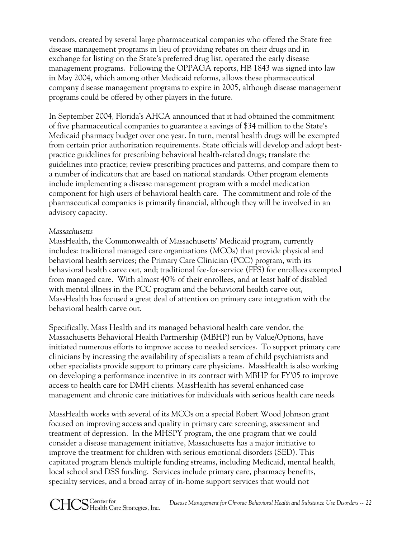vendors, created by several large pharmaceutical companies who offered the State free disease management programs in lieu of providing rebates on their drugs and in exchange for listing on the State's preferred drug list, operated the early disease management programs. Following the OPPAGA reports, HB 1843 was signed into law in May 2004, which among other Medicaid reforms, allows these pharmaceutical company disease management programs to expire in 2005, although disease management programs could be offered by other players in the future.

In September 2004, Florida's AHCA announced that it had obtained the commitment of five pharmaceutical companies to guarantee a savings of \$34 million to the State's Medicaid pharmacy budget over one year. In turn, mental health drugs will be exempted from certain prior authorization requirements. State officials will develop and adopt bestpractice guidelines for prescribing behavioral health-related drugs; translate the guidelines into practice; review prescribing practices and patterns, and compare them to a number of indicators that are based on national standards. Other program elements include implementing a disease management program with a model medication component for high users of behavioral health care. The commitment and role of the pharmaceutical companies is primarily financial, although they will be involved in an advisory capacity.

#### *Massachusetts*

MassHealth, the Commonwealth of Massachusetts' Medicaid program, currently includes: traditional managed care organizations (MCOs) that provide physical and behavioral health services; the Primary Care Clinician (PCC) program, with its behavioral health carve out, and; traditional fee-for-service (FFS) for enrollees exempted from managed care. With almost 40% of their enrollees, and at least half of disabled with mental illness in the PCC program and the behavioral health carve out, MassHealth has focused a great deal of attention on primary care integration with the behavioral health carve out.

Specifically, Mass Health and its managed behavioral health care vendor, the Massachusetts Behavioral Health Partnership (MBHP) run by Value/Options, have initiated numerous efforts to improve access to needed services. To support primary care clinicians by increasing the availability of specialists a team of child psychiatrists and other specialists provide support to primary care physicians. MassHealth is also working on developing a performance incentive in its contract with MBHP for FY'05 to improve access to health care for DMH clients. MassHealth has several enhanced case management and chronic care initiatives for individuals with serious health care needs.

MassHealth works with several of its MCOs on a special Robert Wood Johnson grant focused on improving access and quality in primary care screening, assessment and treatment of depression. In the MHSPY program, the one program that we could consider a disease management initiative, Massachusetts has a major initiative to improve the treatment for children with serious emotional disorders (SED). This capitated program blends multiple funding streams, including Medicaid, mental health, local school and DSS funding. Services include primary care, pharmacy benefits, specialty services, and a broad array of in-home support services that would not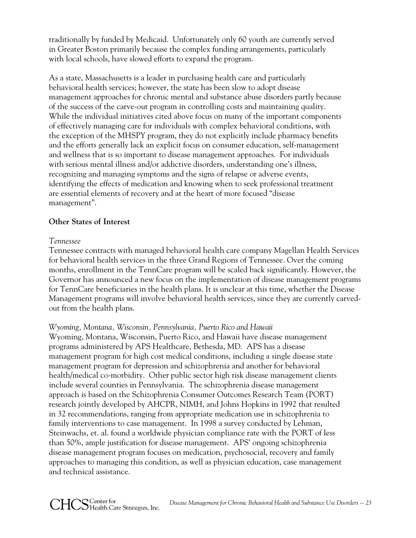traditionally by funded by Medicaid. Unfortunately only 60 youth are currently served in Greater Boston primarily because the complex funding arrangements, particularly with local schools, have slowed efforts to expand the program.

As a state, Massachusetts is a leader in purchasing health care and particularly behavioral health services; however, the state has been slow to adopt disease management approaches for chronic mental and substance abuse disorders partly because of the success of the carve-out program in controlling costs and maintaining quality. While the individual initiatives cited above focus on many of the important components of effectively managing care for individuals with complex behavioral conditions, with the exception of the MHSPY program, they do not explicitly include pharmacy benefits and the efforts generally lack an explicit focus on consumer education, self-management and wellness that is so important to disease management approaches. For individuals with serious mental illness and/or addictive disorders, understanding one's illness, recognizing and managing symptoms and the signs of relapse or adverse events, identifying the effects of medication and knowing when to seek professional treatment are essential elements of recovery and at the heart of more focused "disease management".

## **Other States of Interest**

#### *Tennessee*

Tennessee contracts with managed behavioral health care company Magellan Health Services for behavioral health services in the three Grand Regions of Tennessee. Over the coming months, enrollment in the TennCare program will be scaled back significantly. However, the Governor has announced a new focus on the implementation of disease management programs for TennCare beneficiaries in the health plans. It is unclear at this time, whether the Disease Management programs will involve behavioral health services, since they are currently carvedout from the health plans.

## *Wyoming, Montana, Wisconsin, Pennsylvania, Puerto Rico and Hawaii*

Wyoming, Montana, Wisconsin, Puerto Rico, and Hawaii have disease management programs administered by APS Healthcare, Bethesda, MD. APS has a disease management program for high cost medical conditions, including a single disease state management program for depression and schizophrenia and another for behavioral health/medical co-morbidity. Other public sector high risk disease management clients include several counties in Pennsylvania. The schizophrenia disease management approach is based on the Schizophrenia Consumer Outcomes Research Team (PORT) research jointly developed by AHCPR, NIMH, and Johns Hopkins in 1992 that resulted in 32 recommendations, ranging from appropriate medication use in schizophrenia to family interventions to case management. In 1998 a survey conducted by Lehman, Steinwachs, et. al. found a worldwide physician compliance rate with the PORT of less than 50%, ample justification for disease management. APS' ongoing schizophrenia disease management program focuses on medication, psychosocial, recovery and family approaches to managing this condition, as well as physician education, case management and technical assistance.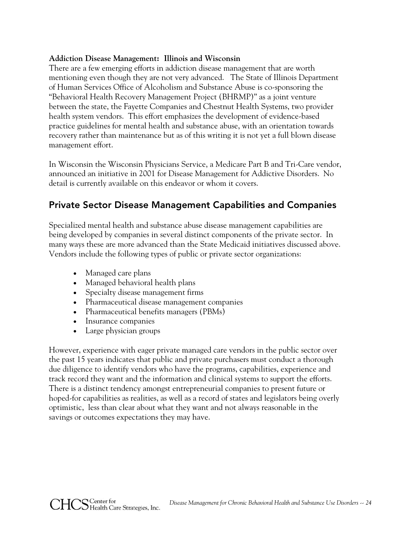#### **Addiction Disease Management: Illinois and Wisconsin**

There are a few emerging efforts in addiction disease management that are worth mentioning even though they are not very advanced. The State of Illinois Department of Human Services Office of Alcoholism and Substance Abuse is co-sponsoring the "Behavioral Health Recovery Management Project (BHRMP)" as a joint venture between the state, the Fayette Companies and Chestnut Health Systems, two provider health system vendors. This effort emphasizes the development of evidence-based practice guidelines for mental health and substance abuse, with an orientation towards recovery rather than maintenance but as of this writing it is not yet a full blown disease management effort.

In Wisconsin the Wisconsin Physicians Service, a Medicare Part B and Tri-Care vendor, announced an initiative in 2001 for Disease Management for Addictive Disorders. No detail is currently available on this endeavor or whom it covers.

## Private Sector Disease Management Capabilities and Companies

Specialized mental health and substance abuse disease management capabilities are being developed by companies in several distinct components of the private sector. In many ways these are more advanced than the State Medicaid initiatives discussed above. Vendors include the following types of public or private sector organizations:

- Managed care plans
- Managed behavioral health plans
- Specialty disease management firms
- Pharmaceutical disease management companies
- Pharmaceutical benefits managers (PBMs)
- Insurance companies

HCS Center for<br>HCS Health Care Strategies, Inc.

• Large physician groups

However, experience with eager private managed care vendors in the public sector over the past 15 years indicates that public and private purchasers must conduct a thorough due diligence to identify vendors who have the programs, capabilities, experience and track record they want and the information and clinical systems to support the efforts. There is a distinct tendency amongst entrepreneurial companies to present future or hoped-for capabilities as realities, as well as a record of states and legislators being overly optimistic, less than clear about what they want and not always reasonable in the savings or outcomes expectations they may have.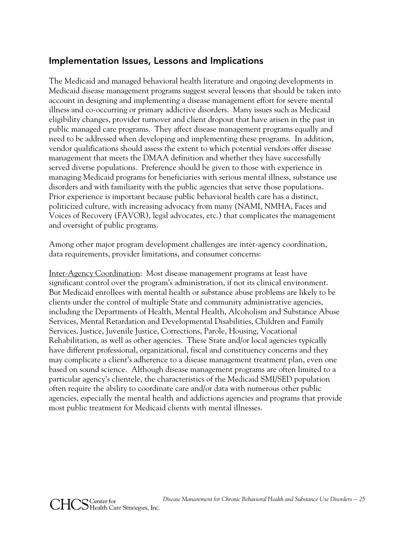## Implementation Issues, Lessons and Implications

The Medicaid and managed behavioral health literature and ongoing developments in Medicaid disease management programs suggest several lessons that should be taken into account in designing and implementing a disease management effort for severe mental illness and co-occurring or primary addictive disorders. Many issues such as Medicaid eligibility changes, provider turnover and client dropout that have arisen in the past in public managed care programs. They affect disease management programs equally and need to be addressed when developing and implementing these programs. In addition, vendor qualifications should assess the extent to which potential vendors offer disease management that meets the DMAA definition and whether they have successfully served diverse populations. Preference should be given to those with experience in managing Medicaid programs for beneficiaries with serious mental illness, substance use disorders and with familiarity with the public agencies that serve those populations. Prior experience is important because public behavioral health care has a distinct, politicized culture, with increasing advocacy from many (NAMI, NMHA, Faces and Voices of Recovery (FAVOR), legal advocates, etc.) that complicates the management and oversight of public programs.

Among other major program development challenges are inter-agency coordination, data requirements, provider limitations, and consumer concerns:

Inter-Agency Coordination: Most disease management programs at least have significant control over the program's administration, if not its clinical environment. But Medicaid enrollees with mental health or substance abuse problems are likely to be clients under the control of multiple State and community administrative agencies, including the Departments of Health, Mental Health, Alcoholism and Substance Abuse Services, Mental Retardation and Developmental Disabilities, Children and Family Services, Justice, Juvenile Justice, Corrections, Parole, Housing, Vocational Rehabilitation, as well as other agencies. These State and/or local agencies typically have different professional, organizational, fiscal and constituency concerns and they may complicate a client's adherence to a disease management treatment plan, even one based on sound science. Although disease management programs are often limited to a particular agency's clientele, the characteristics of the Medicaid SMI/SED population often require the ability to coordinate care and/or data with numerous other public agencies, especially the mental health and addictions agencies and programs that provide most public treatment for Medicaid clients with mental illnesses.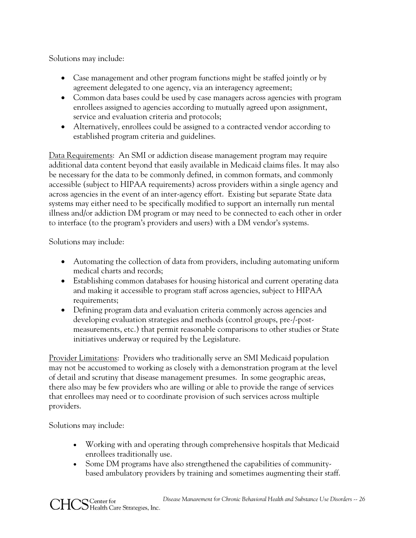Solutions may include:

- Case management and other program functions might be staffed jointly or by agreement delegated to one agency, via an interagency agreement;
- Common data bases could be used by case managers across agencies with program enrollees assigned to agencies according to mutually agreed upon assignment, service and evaluation criteria and protocols;
- Alternatively, enrollees could be assigned to a contracted vendor according to established program criteria and guidelines.

Data Requirements: An SMI or addiction disease management program may require additional data content beyond that easily available in Medicaid claims files. It may also be necessary for the data to be commonly defined, in common formats, and commonly accessible (subject to HIPAA requirements) across providers within a single agency and across agencies in the event of an inter-agency effort. Existing but separate State data systems may either need to be specifically modified to support an internally run mental illness and/or addiction DM program or may need to be connected to each other in order to interface (to the program's providers and users) with a DM vendor's systems.

Solutions may include:

- Automating the collection of data from providers, including automating uniform medical charts and records;
- Establishing common databases for housing historical and current operating data and making it accessible to program staff across agencies, subject to HIPAA requirements;
- Defining program data and evaluation criteria commonly across agencies and developing evaluation strategies and methods (control groups, pre-/-postmeasurements, etc.) that permit reasonable comparisons to other studies or State initiatives underway or required by the Legislature.

Provider Limitations: Providers who traditionally serve an SMI Medicaid population may not be accustomed to working as closely with a demonstration program at the level of detail and scrutiny that disease management presumes. In some geographic areas, there also may be few providers who are willing or able to provide the range of services that enrollees may need or to coordinate provision of such services across multiple providers.

Solutions may include:

- Working with and operating through comprehensive hospitals that Medicaid enrollees traditionally use.
- Some DM programs have also strengthened the capabilities of communitybased ambulatory providers by training and sometimes augmenting their staff.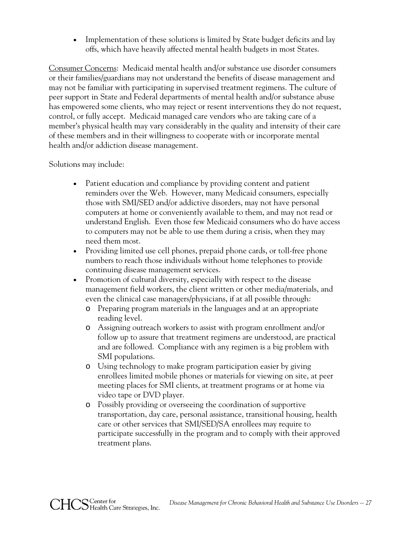• Implementation of these solutions is limited by State budget deficits and lay offs, which have heavily affected mental health budgets in most States.

Consumer Concerns: Medicaid mental health and/or substance use disorder consumers or their families/guardians may not understand the benefits of disease management and may not be familiar with participating in supervised treatment regimens. The culture of peer support in State and Federal departments of mental health and/or substance abuse has empowered some clients, who may reject or resent interventions they do not request, control, or fully accept. Medicaid managed care vendors who are taking care of a member's physical health may vary considerably in the quality and intensity of their care of these members and in their willingness to cooperate with or incorporate mental health and/or addiction disease management.

Solutions may include:

- Patient education and compliance by providing content and patient reminders over the Web. However, many Medicaid consumers, especially those with SMI/SED and/or addictive disorders, may not have personal computers at home or conveniently available to them, and may not read or understand English. Even those few Medicaid consumers who do have access to computers may not be able to use them during a crisis, when they may need them most.
- Providing limited use cell phones, prepaid phone cards, or toll-free phone numbers to reach those individuals without home telephones to provide continuing disease management services.
- Promotion of cultural diversity, especially with respect to the disease management field workers, the client written or other media/materials, and even the clinical case managers/physicians, if at all possible through:
	- o Preparing program materials in the languages and at an appropriate reading level.
	- o Assigning outreach workers to assist with program enrollment and/or follow up to assure that treatment regimens are understood, are practical and are followed. Compliance with any regimen is a big problem with SMI populations.
	- o Using technology to make program participation easier by giving enrollees limited mobile phones or materials for viewing on site, at peer meeting places for SMI clients, at treatment programs or at home via video tape or DVD player.
	- o Possibly providing or overseeing the coordination of supportive transportation, day care, personal assistance, transitional housing, health care or other services that SMI/SED/SA enrollees may require to participate successfully in the program and to comply with their approved treatment plans.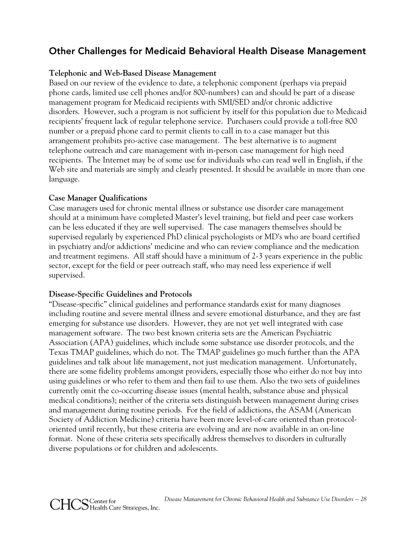## Other Challenges for Medicaid Behavioral Health Disease Management

#### **Telephonic and Web-Based Disease Management**

Based on our review of the evidence to date, a telephonic component (perhaps via prepaid phone cards, limited use cell phones and/or 800-numbers) can and should be part of a disease management program for Medicaid recipients with SMI/SED and/or chronic addictive disorders. However, such a program is not sufficient by itself for this population due to Medicaid recipients' frequent lack of regular telephone service. Purchasers could provide a toll-free 800 number or a prepaid phone card to permit clients to call in to a case manager but this arrangement prohibits pro-active case management. The best alternative is to augment telephone outreach and care management with in-person case management for high need recipients. The Internet may be of some use for individuals who can read well in English, if the Web site and materials are simply and clearly presented. It should be available in more than one language.

## **Case Manager Qualifications**

Case managers used for chronic mental illness or substance use disorder care management should at a minimum have completed Master's level training, but field and peer case workers can be less educated if they are well supervised. The case managers themselves should be supervised regularly by experienced PhD clinical psychologists or MD's who are board certified in psychiatry and/or addictions' medicine and who can review compliance and the medication and treatment regimens. All staff should have a minimum of 2-3 years experience in the public sector, except for the field or peer outreach staff, who may need less experience if well supervised.

#### **Disease-Specific Guidelines and Protocols**

"Disease-specific" clinical guidelines and performance standards exist for many diagnoses including routine and severe mental illness and severe emotional disturbance, and they are fast emerging for substance use disorders. However, they are not yet well integrated with case management software. The two best known criteria sets are the American Psychiatric Association (APA) guidelines, which include some substance use disorder protocols, and the Texas TMAP guidelines, which do not. The TMAP guidelines go much further than the APA guidelines and talk about life management, not just medication management. Unfortunately, there are some fidelity problems amongst providers, especially those who either do not buy into using guidelines or who refer to them and then fail to use them. Also the two sets of guidelines currently omit the co-occurring disease issues (mental health, substance abuse and physical medical conditions); neither of the criteria sets distinguish between management during crises and management during routine periods. For the field of addictions, the ASAM (American Society of Addiction Medicine) criteria have been more level-of-care oriented than protocoloriented until recently, but these criteria are evolving and are now available in an on-line format. None of these criteria sets specifically address themselves to disorders in culturally diverse populations or for children and adolescents.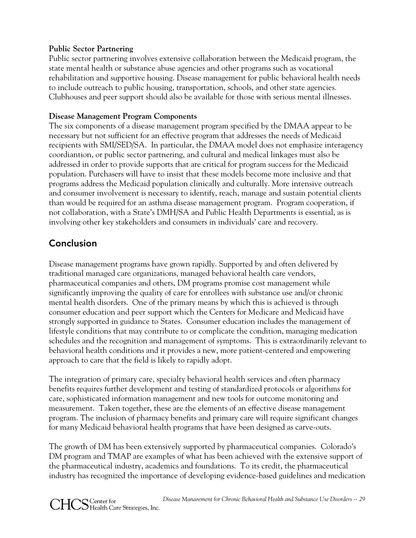## **Public Sector Partnering**

Public sector partnering involves extensive collaboration between the Medicaid program, the state mental health or substance abuse agencies and other programs such as vocational rehabilitation and supportive housing. Disease management for public behavioral health needs to include outreach to public housing, transportation, schools, and other state agencies. Clubhouses and peer support should also be available for those with serious mental illnesses.

## **Disease Management Program Components**

The six components of a disease management program specified by the DMAA appear to be necessary but not sufficient for an effective program that addresses the needs of Medicaid recipients with SMI/SED/SA. In particular, the DMAA model does not emphasize interagency coordiantion, or public sector partnering, and cultural and medical linkages must also be addressed in order to provide supports that are critical for program success for the Medicaid population. Purchasers will have to insist that these models become more inclusive and that programs address the Medicaid population clinically and culturally. More intensive outreach and consumer involvement is necessary to identify, reach, manage and sustain potential clients than would be required for an asthma disease management program. Program cooperation, if not collaboration, with a State's DMH/SA and Public Health Departments is essential, as is involving other key stakeholders and consumers in individuals' care and recovery.

# **Conclusion**

Disease management programs have grown rapidly. Supported by and often delivered by traditional managed care organizations, managed behavioral health care vendors, pharmaceutical companies and others, DM programs promise cost management while significantly improving the quality of care for enrollees with substance use and/or chronic mental health disorders. One of the primary means by which this is achieved is through consumer education and peer support which the Centers for Medicare and Medicaid have strongly supported in guidance to States. Consumer education includes the management of lifestyle conditions that may contribute to or complicate the condition, managing medication schedules and the recognition and management of symptoms. This is extraordinarily relevant to behavioral health conditions and it provides a new, more patient-centered and empowering approach to care that the field is likely to rapidly adopt.

The integration of primary care, specialty behavioral health services and often pharmacy benefits requires further development and testing of standardized protocols or algorithms for care, sophisticated information management and new tools for outcome monitoring and measurement. Taken together, these are the elements of an effective disease management program. The inclusion of pharmacy benefits and primary care will require significant changes for many Medicaid behavioral health programs that have been designed as carve-outs.

The growth of DM has been extensively supported by pharmaceutical companies. Colorado's DM program and TMAP are examples of what has been achieved with the extensive support of the pharmaceutical industry, academics and foundations. To its credit, the pharmaceutical industry has recognized the importance of developing evidence-based guidelines and medication